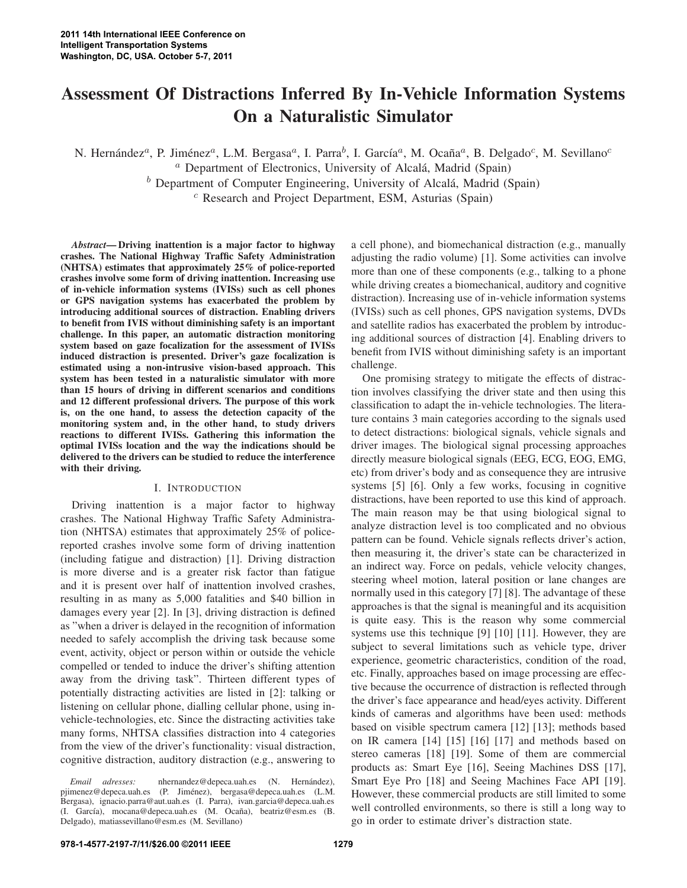# **Assessment Of Distractions Inferred By In-Vehicle Information Systems On a Naturalistic Simulator**

N. Hernández<sup>a</sup>, P. Jiménez<sup>a</sup>, L.M. Bergasa<sup>a</sup>, I. Parra<sup>b</sup>, I. García<sup>a</sup>, M. Ocaña<sup>a</sup>, B. Delgado<sup>c</sup>, M. Sevillano<sup>c</sup>  $a$  Department of Electronics, University of Alcalá, Madrid (Spain)

 $<sup>b</sup>$  Department of Computer Engineering, University of Alcalá, Madrid (Spain)</sup>

 $c$  Research and Project Department, ESM, Asturias (Spain)

*Abstract***— Driving inattention is a major factor to highway crashes. The National Highway Traffic Safety Administration (NHTSA) estimates that approximately 25% of police-reported crashes involve some form of driving inattention. Increasing use of in-vehicle information systems (IVISs) such as cell phones or GPS navigation systems has exacerbated the problem by introducing additional sources of distraction. Enabling drivers to benefit from IVIS without diminishing safety is an important challenge. In this paper, an automatic distraction monitoring system based on gaze focalization for the assessment of IVISs induced distraction is presented. Driver's gaze focalization is estimated using a non-intrusive vision-based approach. This system has been tested in a naturalistic simulator with more than 15 hours of driving in different scenarios and conditions and 12 different professional drivers. The purpose of this work is, on the one hand, to assess the detection capacity of the monitoring system and, in the other hand, to study drivers reactions to different IVISs. Gathering this information the optimal IVISs location and the way the indications should be delivered to the drivers can be studied to reduce the interference with their driving.**

### I. INTRODUCTION

Driving inattention is a major factor to highway crashes. The National Highway Traffic Safety Administration (NHTSA) estimates that approximately 25% of policereported crashes involve some form of driving inattention (including fatigue and distraction) [1]. Driving distraction is more diverse and is a greater risk factor than fatigue and it is present over half of inattention involved crashes, resulting in as many as 5,000 fatalities and \$40 billion in damages every year [2]. In [3], driving distraction is defined as "when a driver is delayed in the recognition of information needed to safely accomplish the driving task because some event, activity, object or person within or outside the vehicle compelled or tended to induce the driver's shifting attention away from the driving task". Thirteen different types of potentially distracting activities are listed in [2]: talking or listening on cellular phone, dialling cellular phone, using invehicle-technologies, etc. Since the distracting activities take many forms, NHTSA classifies distraction into 4 categories from the view of the driver's functionality: visual distraction, cognitive distraction, auditory distraction (e.g., answering to

a cell phone), and biomechanical distraction (e.g., manually adjusting the radio volume) [1]. Some activities can involve more than one of these components (e.g., talking to a phone while driving creates a biomechanical, auditory and cognitive distraction). Increasing use of in-vehicle information systems (IVISs) such as cell phones, GPS navigation systems, DVDs and satellite radios has exacerbated the problem by introducing additional sources of distraction [4]. Enabling drivers to benefit from IVIS without diminishing safety is an important challenge.

One promising strategy to mitigate the effects of distraction involves classifying the driver state and then using this classification to adapt the in-vehicle technologies. The literature contains 3 main categories according to the signals used to detect distractions: biological signals, vehicle signals and driver images. The biological signal processing approaches directly measure biological signals (EEG, ECG, EOG, EMG, etc) from driver's body and as consequence they are intrusive systems [5] [6]. Only a few works, focusing in cognitive distractions, have been reported to use this kind of approach. The main reason may be that using biological signal to analyze distraction level is too complicated and no obvious pattern can be found. Vehicle signals reflects driver's action, then measuring it, the driver's state can be characterized in an indirect way. Force on pedals, vehicle velocity changes, steering wheel motion, lateral position or lane changes are normally used in this category [7] [8]. The advantage of these approaches is that the signal is meaningful and its acquisition is quite easy. This is the reason why some commercial systems use this technique [9] [10] [11]. However, they are subject to several limitations such as vehicle type, driver experience, geometric characteristics, condition of the road, etc. Finally, approaches based on image processing are effective because the occurrence of distraction is reflected through the driver's face appearance and head/eyes activity. Different kinds of cameras and algorithms have been used: methods based on visible spectrum camera [12] [13]; methods based on IR camera [14] [15] [16] [17] and methods based on stereo cameras [18] [19]. Some of them are commercial products as: Smart Eye [16], Seeing Machines DSS [17], Smart Eye Pro [18] and Seeing Machines Face API [19]. However, these commercial products are still limited to some well controlled environments, so there is still a long way to go in order to estimate driver's distraction state.

*Email adresses:* nhernandez@depeca.uah.es (N. Hernández), pjimenez@depeca.uah.es (P. Jiménez), bergasa@depeca.uah.es (L.M. Bergasa), ignacio.parra@aut.uah.es (I. Parra), ivan.garcia@depeca.uah.es (I. García), mocana@depeca.uah.es (M. Ocaña), beatriz@esm.es (B. Delgado), matiassevillano@esm.es (M. Sevillano)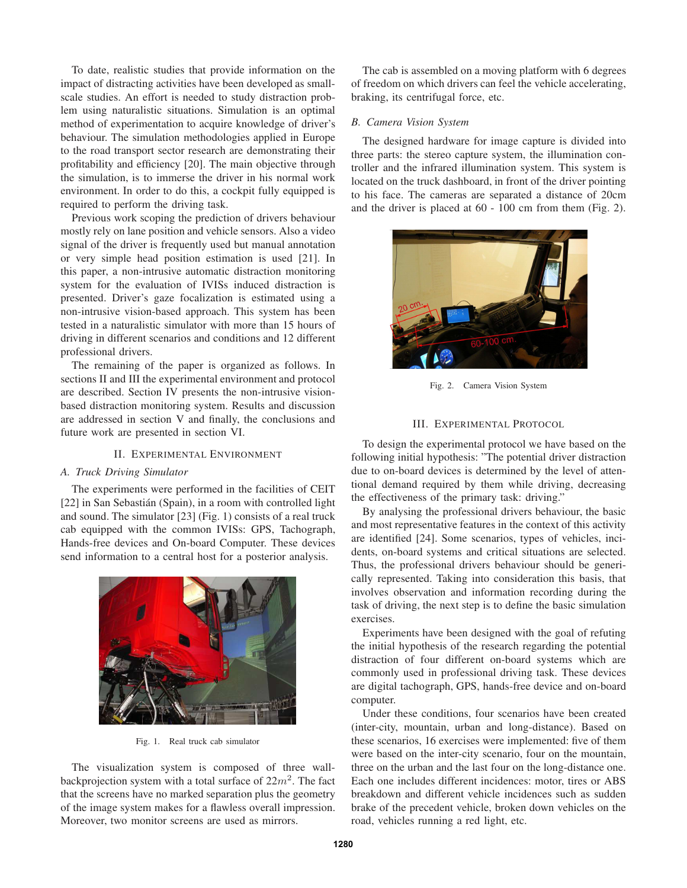To date, realistic studies that provide information on the impact of distracting activities have been developed as smallscale studies. An effort is needed to study distraction problem using naturalistic situations. Simulation is an optimal method of experimentation to acquire knowledge of driver's behaviour. The simulation methodologies applied in Europe to the road transport sector research are demonstrating their profitability and efficiency [20]. The main objective through the simulation, is to immerse the driver in his normal work environment. In order to do this, a cockpit fully equipped is required to perform the driving task.

Previous work scoping the prediction of drivers behaviour mostly rely on lane position and vehicle sensors. Also a video signal of the driver is frequently used but manual annotation or very simple head position estimation is used [21]. In this paper, a non-intrusive automatic distraction monitoring system for the evaluation of IVISs induced distraction is presented. Driver's gaze focalization is estimated using a non-intrusive vision-based approach. This system has been tested in a naturalistic simulator with more than 15 hours of driving in different scenarios and conditions and 12 different professional drivers.

The remaining of the paper is organized as follows. In sections II and III the experimental environment and protocol are described. Section IV presents the non-intrusive visionbased distraction monitoring system. Results and discussion are addressed in section V and finally, the conclusions and future work are presented in section VI.

## II. EXPERIMENTAL ENVIRONMENT

#### *A. Truck Driving Simulator*

The experiments were performed in the facilities of CEIT [22] in San Sebastián (Spain), in a room with controlled light and sound. The simulator [23] (Fig. 1) consists of a real truck cab equipped with the common IVISs: GPS, Tachograph, Hands-free devices and On-board Computer. These devices send information to a central host for a posterior analysis.



Fig. 1. Real truck cab simulator

The visualization system is composed of three wallbackprojection system with a total surface of  $22m^2$ . The fact that the screens have no marked separation plus the geometry of the image system makes for a flawless overall impression. Moreover, two monitor screens are used as mirrors.

The cab is assembled on a moving platform with 6 degrees of freedom on which drivers can feel the vehicle accelerating, braking, its centrifugal force, etc.

## *B. Camera Vision System*

The designed hardware for image capture is divided into three parts: the stereo capture system, the illumination controller and the infrared illumination system. This system is located on the truck dashboard, in front of the driver pointing to his face. The cameras are separated a distance of 20cm and the driver is placed at 60 - 100 cm from them (Fig. 2).



Fig. 2. Camera Vision System

#### III. EXPERIMENTAL PROTOCOL

To design the experimental protocol we have based on the following initial hypothesis: "The potential driver distraction due to on-board devices is determined by the level of attentional demand required by them while driving, decreasing the effectiveness of the primary task: driving."

By analysing the professional drivers behaviour, the basic and most representative features in the context of this activity are identified [24]. Some scenarios, types of vehicles, incidents, on-board systems and critical situations are selected. Thus, the professional drivers behaviour should be generically represented. Taking into consideration this basis, that involves observation and information recording during the task of driving, the next step is to define the basic simulation exercises.

Experiments have been designed with the goal of refuting the initial hypothesis of the research regarding the potential distraction of four different on-board systems which are commonly used in professional driving task. These devices are digital tachograph, GPS, hands-free device and on-board computer.

Under these conditions, four scenarios have been created (inter-city, mountain, urban and long-distance). Based on these scenarios, 16 exercises were implemented: five of them were based on the inter-city scenario, four on the mountain, three on the urban and the last four on the long-distance one. Each one includes different incidences: motor, tires or ABS breakdown and different vehicle incidences such as sudden brake of the precedent vehicle, broken down vehicles on the road, vehicles running a red light, etc.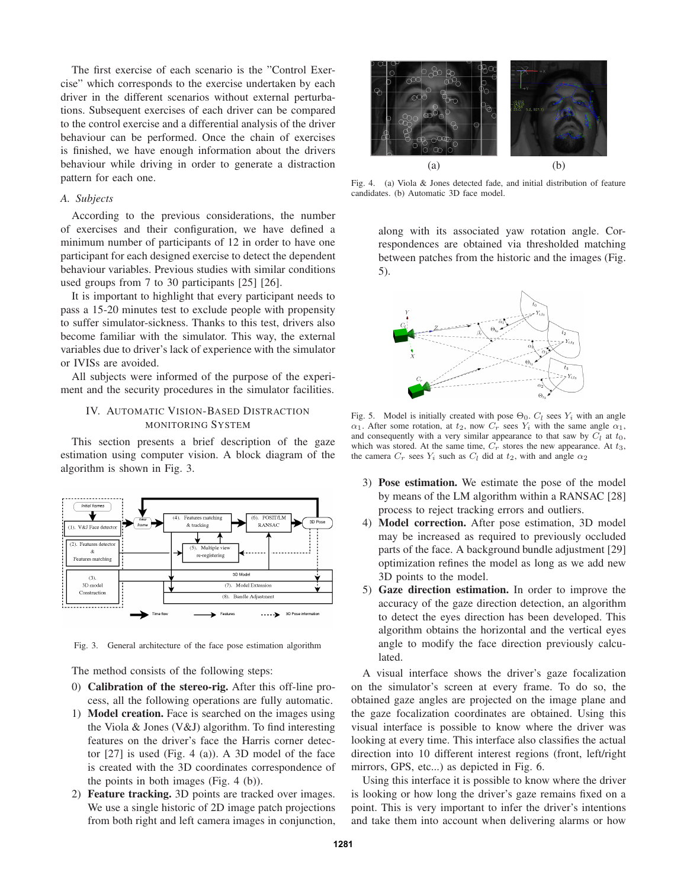The first exercise of each scenario is the "Control Exercise" which corresponds to the exercise undertaken by each driver in the different scenarios without external perturbations. Subsequent exercises of each driver can be compared to the control exercise and a differential analysis of the driver behaviour can be performed. Once the chain of exercises is finished, we have enough information about the drivers behaviour while driving in order to generate a distraction pattern for each one.

## *A. Subjects*

According to the previous considerations, the number of exercises and their configuration, we have defined a minimum number of participants of 12 in order to have one participant for each designed exercise to detect the dependent behaviour variables. Previous studies with similar conditions used groups from 7 to 30 participants [25] [26].

It is important to highlight that every participant needs to pass a 15-20 minutes test to exclude people with propensity to suffer simulator-sickness. Thanks to this test, drivers also become familiar with the simulator. This way, the external variables due to driver's lack of experience with the simulator or IVISs are avoided.

All subjects were informed of the purpose of the experiment and the security procedures in the simulator facilities.

# IV. AUTOMATIC VISION-BASED DISTRACTION MONITORING SYSTEM

This section presents a brief description of the gaze estimation using computer vision. A block diagram of the algorithm is shown in Fig. 3.



Fig. 3. General architecture of the face pose estimation algorithm

The method consists of the following steps:

- 0) **Calibration of the stereo-rig.** After this off-line process, all the following operations are fully automatic.
- 1) **Model creation.** Face is searched on the images using the Viola & Jones (V&J) algorithm. To find interesting features on the driver's face the Harris corner detector [27] is used (Fig. 4 (a)). A 3D model of the face is created with the 3D coordinates correspondence of the points in both images (Fig. 4 (b)).
- 2) **Feature tracking.** 3D points are tracked over images. We use a single historic of 2D image patch projections from both right and left camera images in conjunction,



Fig. 4. (a) Viola & Jones detected fade, and initial distribution of feature candidates. (b) Automatic 3D face model.

along with its associated yaw rotation angle. Correspondences are obtained via thresholded matching between patches from the historic and the images (Fig. 5).



Fig. 5. Model is initially created with pose  $\Theta_0$ .  $C_l$  sees  $Y_i$  with an angle  $\alpha_1$ . After some rotation, at  $t_2$ , now  $C_r$  sees  $Y_i$  with the same angle  $\alpha_1$ , and consequently with a very similar appearance to that saw by  $C_l$  at  $t_0$ , which was stored. At the same time,  $C_r$  stores the new appearance. At  $t_3$ , the camera  $C_r$  sees  $Y_i$  such as  $C_l$  did at  $t_2$ , with and angle  $\alpha_2$ 

- 3) **Pose estimation.** We estimate the pose of the model by means of the LM algorithm within a RANSAC [28] process to reject tracking errors and outliers.
- 4) **Model correction.** After pose estimation, 3D model may be increased as required to previously occluded parts of the face. A background bundle adjustment [29] optimization refines the model as long as we add new 3D points to the model.
- 5) **Gaze direction estimation.** In order to improve the accuracy of the gaze direction detection, an algorithm to detect the eyes direction has been developed. This algorithm obtains the horizontal and the vertical eyes angle to modify the face direction previously calculated.

A visual interface shows the driver's gaze focalization on the simulator's screen at every frame. To do so, the obtained gaze angles are projected on the image plane and the gaze focalization coordinates are obtained. Using this visual interface is possible to know where the driver was looking at every time. This interface also classifies the actual direction into 10 different interest regions (front, left/right mirrors, GPS, etc...) as depicted in Fig. 6.

Using this interface it is possible to know where the driver is looking or how long the driver's gaze remains fixed on a point. This is very important to infer the driver's intentions and take them into account when delivering alarms or how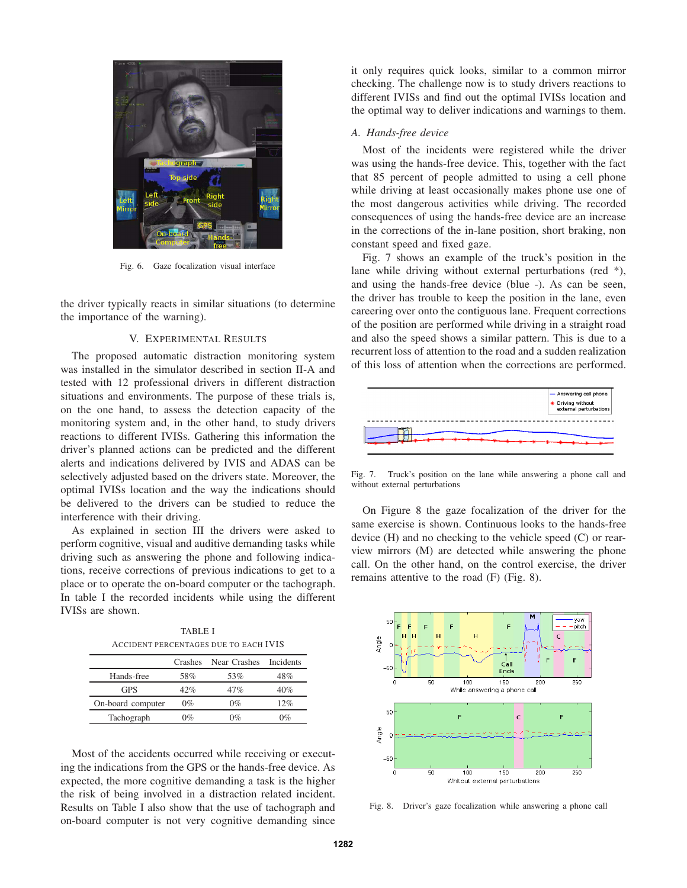

Fig. 6. Gaze focalization visual interface

the driver typically reacts in similar situations (to determine the importance of the warning).

### V. EXPERIMENTAL RESULTS

The proposed automatic distraction monitoring system was installed in the simulator described in section II-A and tested with 12 professional drivers in different distraction situations and environments. The purpose of these trials is, on the one hand, to assess the detection capacity of the monitoring system and, in the other hand, to study drivers reactions to different IVISs. Gathering this information the driver's planned actions can be predicted and the different alerts and indications delivered by IVIS and ADAS can be selectively adjusted based on the drivers state. Moreover, the optimal IVISs location and the way the indications should be delivered to the drivers can be studied to reduce the interference with their driving.

As explained in section III the drivers were asked to perform cognitive, visual and auditive demanding tasks while driving such as answering the phone and following indications, receive corrections of previous indications to get to a place or to operate the on-board computer or the tachograph. In table I the recorded incidents while using the different IVISs are shown.

TABLE I ACCIDENT PERCENTAGES DUE TO EACH IVIS

|                   | Crashes | Near Crashes | Incidents |
|-------------------|---------|--------------|-----------|
| Hands-free        | 58%     | 53%          | 48%       |
| GPS               | 42%     | 47%          | 40%       |
| On-board computer | $0\%$   | $0\%$        | 12%       |
| Tachograph        | 0%      | በ‰           | $Q_0$     |

Most of the accidents occurred while receiving or executing the indications from the GPS or the hands-free device. As expected, the more cognitive demanding a task is the higher the risk of being involved in a distraction related incident. Results on Table I also show that the use of tachograph and on-board computer is not very cognitive demanding since it only requires quick looks, similar to a common mirror checking. The challenge now is to study drivers reactions to different IVISs and find out the optimal IVISs location and the optimal way to deliver indications and warnings to them.

### *A. Hands-free device*

Most of the incidents were registered while the driver was using the hands-free device. This, together with the fact that 85 percent of people admitted to using a cell phone while driving at least occasionally makes phone use one of the most dangerous activities while driving. The recorded consequences of using the hands-free device are an increase in the corrections of the in-lane position, short braking, non constant speed and fixed gaze.

Fig. 7 shows an example of the truck's position in the lane while driving without external perturbations (red \*), and using the hands-free device (blue -). As can be seen, the driver has trouble to keep the position in the lane, even careering over onto the contiguous lane. Frequent corrections of the position are performed while driving in a straight road and also the speed shows a similar pattern. This is due to a recurrent loss of attention to the road and a sudden realization of this loss of attention when the corrections are performed.



Fig. 7. Truck's position on the lane while answering a phone call and without external perturbations

On Figure 8 the gaze focalization of the driver for the same exercise is shown. Continuous looks to the hands-free device (H) and no checking to the vehicle speed (C) or rearview mirrors (M) are detected while answering the phone call. On the other hand, on the control exercise, the driver remains attentive to the road (F) (Fig. 8).



Fig. 8. Driver's gaze focalization while answering a phone call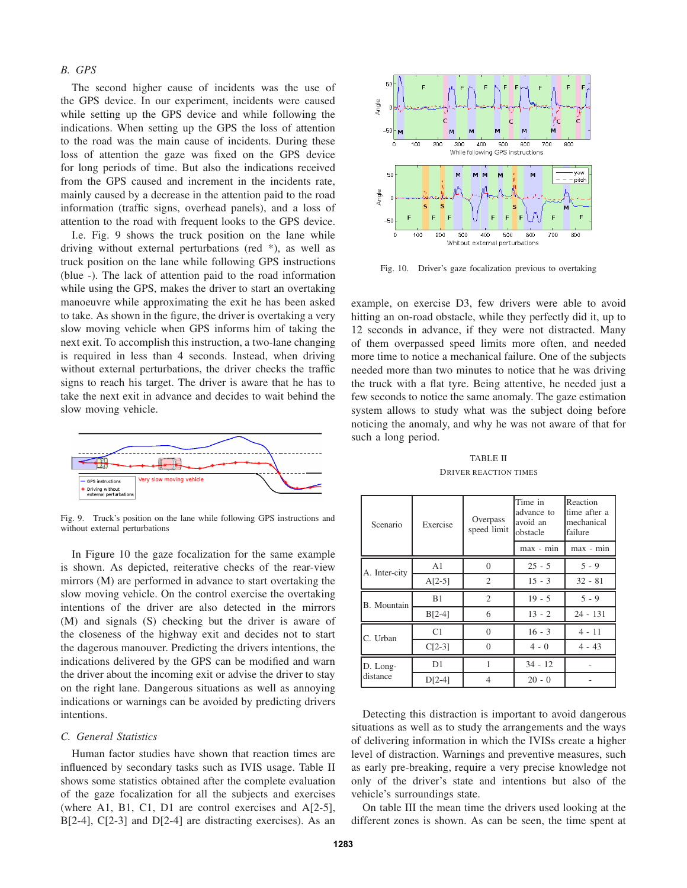## *B. GPS*

The second higher cause of incidents was the use of the GPS device. In our experiment, incidents were caused while setting up the GPS device and while following the indications. When setting up the GPS the loss of attention to the road was the main cause of incidents. During these loss of attention the gaze was fixed on the GPS device for long periods of time. But also the indications received from the GPS caused and increment in the incidents rate, mainly caused by a decrease in the attention paid to the road information (traffic signs, overhead panels), and a loss of attention to the road with frequent looks to the GPS device.

I.e. Fig. 9 shows the truck position on the lane while driving without external perturbations (red \*), as well as truck position on the lane while following GPS instructions (blue -). The lack of attention paid to the road information while using the GPS, makes the driver to start an overtaking manoeuvre while approximating the exit he has been asked to take. As shown in the figure, the driver is overtaking a very slow moving vehicle when GPS informs him of taking the next exit. To accomplish this instruction, a two-lane changing is required in less than 4 seconds. Instead, when driving without external perturbations, the driver checks the traffic signs to reach his target. The driver is aware that he has to take the next exit in advance and decides to wait behind the slow moving vehicle.



Fig. 9. Truck's position on the lane while following GPS instructions and without external perturbations

In Figure 10 the gaze focalization for the same example is shown. As depicted, reiterative checks of the rear-view mirrors (M) are performed in advance to start overtaking the slow moving vehicle. On the control exercise the overtaking intentions of the driver are also detected in the mirrors (M) and signals (S) checking but the driver is aware of the closeness of the highway exit and decides not to start the dagerous manouver. Predicting the drivers intentions, the indications delivered by the GPS can be modified and warn the driver about the incoming exit or advise the driver to stay on the right lane. Dangerous situations as well as annoying indications or warnings can be avoided by predicting drivers intentions.

#### *C. General Statistics*

Human factor studies have shown that reaction times are influenced by secondary tasks such as IVIS usage. Table II shows some statistics obtained after the complete evaluation of the gaze focalization for all the subjects and exercises (where A1, B1, C1, D1 are control exercises and A[2-5], B[2-4], C[2-3] and D[2-4] are distracting exercises). As an



Fig. 10. Driver's gaze focalization previous to overtaking

example, on exercise D3, few drivers were able to avoid hitting an on-road obstacle, while they perfectly did it, up to 12 seconds in advance, if they were not distracted. Many of them overpassed speed limits more often, and needed more time to notice a mechanical failure. One of the subjects needed more than two minutes to notice that he was driving the truck with a flat tyre. Being attentive, he needed just a few seconds to notice the same anomaly. The gaze estimation system allows to study what was the subject doing before noticing the anomaly, and why he was not aware of that for such a long period.

TABLE II DRIVER REACTION TIMES

| Scenario             | Exercise       | Overpass<br>speed limit | Time in<br>advance to<br>avoid an<br>obstacle | Reaction<br>time after a<br>mechanical<br>failure |
|----------------------|----------------|-------------------------|-----------------------------------------------|---------------------------------------------------|
|                      |                |                         | max - min                                     | max - min                                         |
| A. Inter-city        | A1             | $\Omega$                | $25 - 5$                                      | $5 - 9$                                           |
|                      | $A[2-5]$       | 2                       | $15 - 3$                                      | $32 - 81$                                         |
| B. Mountain          | B <sub>1</sub> | $\overline{c}$          | $19 - 5$                                      | $5 - 9$                                           |
|                      | $B[2-4]$       | 6                       | $13 - 2$                                      | $24 - 131$                                        |
| C. Urban             | C1             | $\theta$                | $16 - 3$                                      | $4 - 11$                                          |
|                      | $C[2-3]$       | $\theta$                | $4 - 0$                                       | $4 - 43$                                          |
| D. Long-<br>distance | D <sub>1</sub> | 1                       | $34 - 12$                                     |                                                   |
|                      | $D[2-4]$       | 4                       | $20 - 0$                                      |                                                   |

Detecting this distraction is important to avoid dangerous situations as well as to study the arrangements and the ways of delivering information in which the IVISs create a higher level of distraction. Warnings and preventive measures, such as early pre-breaking, require a very precise knowledge not only of the driver's state and intentions but also of the vehicle's surroundings state.

On table III the mean time the drivers used looking at the different zones is shown. As can be seen, the time spent at